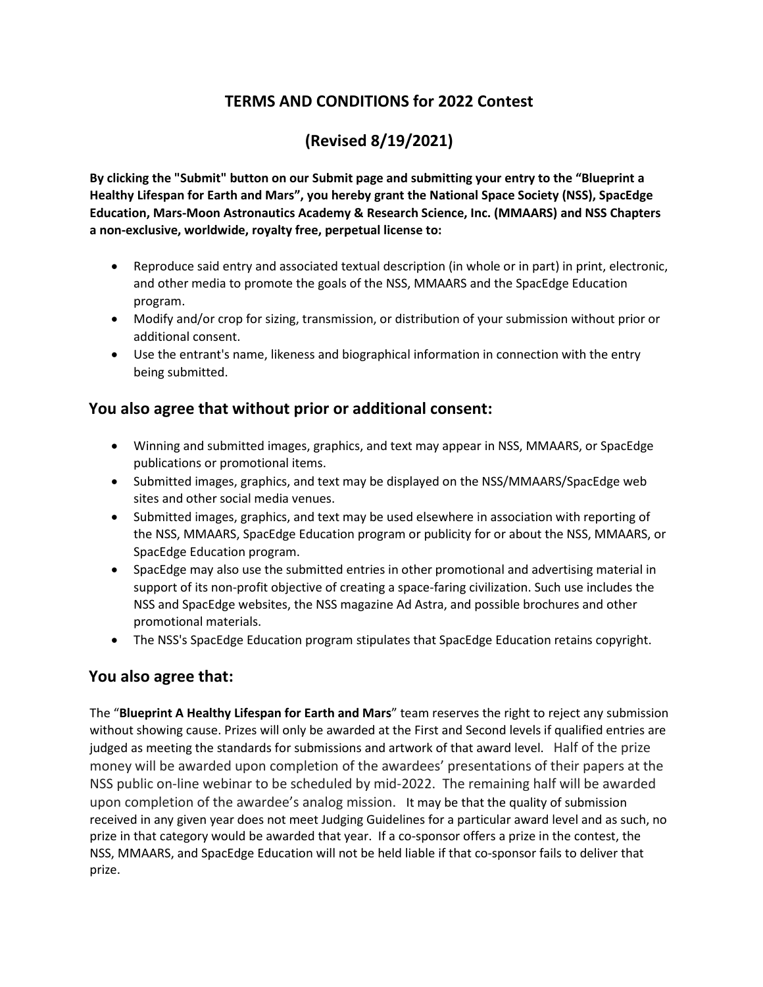## **TERMS AND CONDITIONS for 2022 Contest**

# **(Revised 8/19/2021)**

**By clicking the "Submit" button on our Submit page and submitting your entry to the "Blueprint a Healthy Lifespan for Earth and Mars", you hereby grant the National Space Society (NSS), SpacEdge Education, Mars-Moon Astronautics Academy & Research Science, Inc. (MMAARS) and NSS Chapters a non-exclusive, worldwide, royalty free, perpetual license to:** 

- Reproduce said entry and associated textual description (in whole or in part) in print, electronic, and other media to promote the goals of the NSS, MMAARS and the SpacEdge Education program.
- Modify and/or crop for sizing, transmission, or distribution of your submission without prior or additional consent.
- Use the entrant's name, likeness and biographical information in connection with the entry being submitted.

#### **You also agree that without prior or additional consent:**

- Winning and submitted images, graphics, and text may appear in NSS, MMAARS, or SpacEdge publications or promotional items.
- Submitted images, graphics, and text may be displayed on the NSS/MMAARS/SpacEdge web sites and other social media venues.
- Submitted images, graphics, and text may be used elsewhere in association with reporting of the NSS, MMAARS, SpacEdge Education program or publicity for or about the NSS, MMAARS, or SpacEdge Education program.
- SpacEdge may also use the submitted entries in other promotional and advertising material in support of its non-profit objective of creating a space-faring civilization. Such use includes the NSS and SpacEdge websites, the NSS magazine Ad Astra, and possible brochures and other promotional materials.
- The NSS's SpacEdge Education program stipulates that SpacEdge Education retains copyright.

### **You also agree that:**

The "**Blueprint A Healthy Lifespan for Earth and Mars**" team reserves the right to reject any submission without showing cause. Prizes will only be awarded at the First and Second levels if qualified entries are judged as meeting the standards for submissions and artwork of that award level. Half of the prize money will be awarded upon completion of the awardees' presentations of their papers at the NSS public on-line webinar to be scheduled by mid-2022. The remaining half will be awarded upon completion of the awardee's analog mission. It may be that the quality of submission received in any given year does not meet Judging Guidelines for a particular award level and as such, no prize in that category would be awarded that year. If a co-sponsor offers a prize in the contest, the NSS, MMAARS, and SpacEdge Education will not be held liable if that co-sponsor fails to deliver that prize.